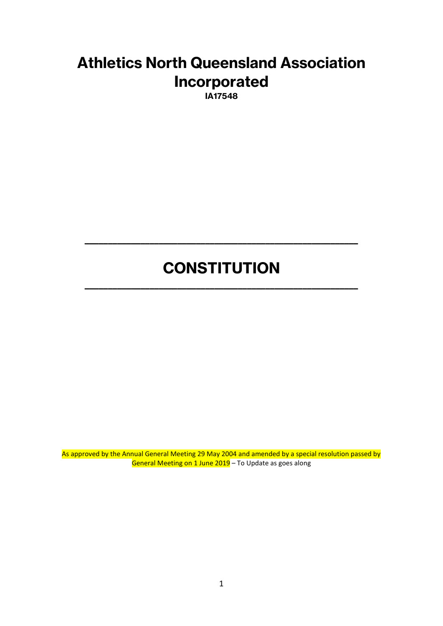# **Athletics North Queensland Association Incorporated**

**IA17548**

# **CONSTITUTION**

**\_\_\_\_\_\_\_\_\_\_\_\_\_\_\_\_\_\_\_\_\_\_\_\_\_\_\_\_\_\_\_\_\_\_\_\_\_\_\_\_\_\_\_\_\_\_\_\_\_\_\_\_\_\_\_\_\_\_\_**

**\_\_\_\_\_\_\_\_\_\_\_\_\_\_\_\_\_\_\_\_\_\_\_\_\_\_\_\_\_\_\_\_\_\_\_\_\_\_\_\_\_\_\_\_\_\_\_\_\_\_\_\_\_\_\_\_\_\_\_**

As approved by the Annual General Meeting 29 May 2004 and amended by a special resolution passed by General Meeting on 1 June 2019 – To Update as goes along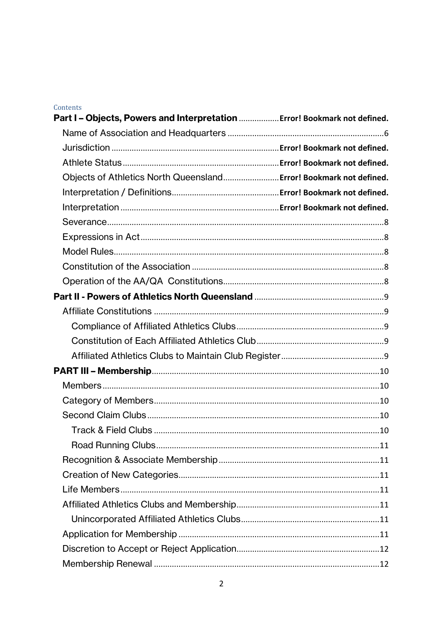#### Contents

| Part I - Objects, Powers and Interpretation  Error! Bookmark not defined. |  |
|---------------------------------------------------------------------------|--|
|                                                                           |  |
|                                                                           |  |
|                                                                           |  |
| Objects of Athletics North Queensland Error! Bookmark not defined.        |  |
|                                                                           |  |
|                                                                           |  |
|                                                                           |  |
|                                                                           |  |
|                                                                           |  |
|                                                                           |  |
|                                                                           |  |
|                                                                           |  |
|                                                                           |  |
|                                                                           |  |
|                                                                           |  |
|                                                                           |  |
|                                                                           |  |
|                                                                           |  |
|                                                                           |  |
|                                                                           |  |
|                                                                           |  |
|                                                                           |  |
|                                                                           |  |
|                                                                           |  |
|                                                                           |  |
|                                                                           |  |
|                                                                           |  |
|                                                                           |  |
|                                                                           |  |
|                                                                           |  |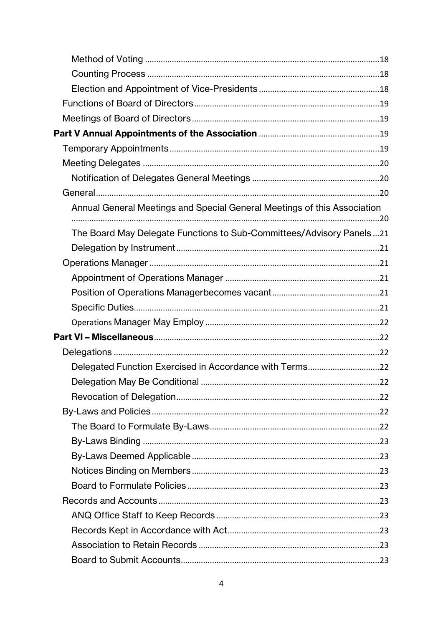| Annual General Meetings and Special General Meetings of this Association |  |
|--------------------------------------------------------------------------|--|
| The Board May Delegate Functions to Sub-Committees/Advisory Panels21     |  |
|                                                                          |  |
|                                                                          |  |
|                                                                          |  |
|                                                                          |  |
|                                                                          |  |
|                                                                          |  |
|                                                                          |  |
|                                                                          |  |
|                                                                          |  |
|                                                                          |  |
|                                                                          |  |
|                                                                          |  |
|                                                                          |  |
|                                                                          |  |
|                                                                          |  |
|                                                                          |  |
|                                                                          |  |
|                                                                          |  |
|                                                                          |  |
|                                                                          |  |
|                                                                          |  |
|                                                                          |  |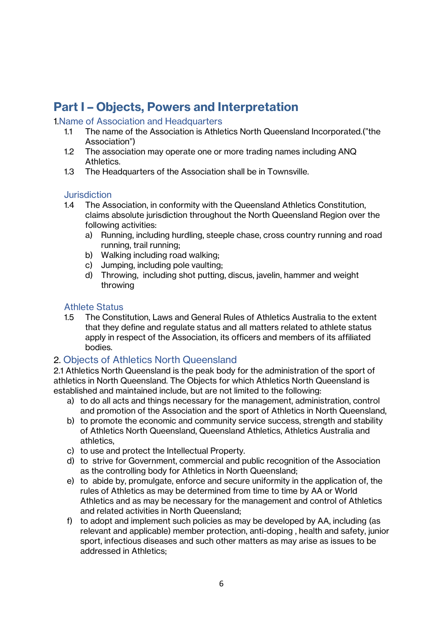# **Part I – Objects, Powers and Interpretation**

#### <span id="page-5-0"></span>1.Name of Association and Headquarters

- 1.1 The name of the Association is Athletics North Queensland Incorporated.("the Association")
- 1.2 The association may operate one or more trading names including ANQ Athletics.
- 1.3 The Headquarters of the Association shall be in Townsville.

#### **Jurisdiction**

- 1.4 The Association, in conformity with the Queensland Athletics Constitution, claims absolute jurisdiction throughout the North Queensland Region over the following activities:
	- a) Running, including hurdling, steeple chase, cross country running and road running, trail running;
	- b) Walking including road walking;
	- c) Jumping, including pole vaulting;
	- d) Throwing, including shot putting, discus, javelin, hammer and weight throwing

#### Athlete Status

1.5 The Constitution, Laws and General Rules of Athletics Australia to the extent that they define and regulate status and all matters related to athlete status apply in respect of the Association, its officers and members of its affiliated bodies.

### 2. Objects of Athletics North Queensland

2.1 Athletics North Queensland is the peak body for the administration of the sport of athletics in North Queensland. The Objects for which Athletics North Queensland is established and maintained include, but are not limited to the following:

- a) to do all acts and things necessary for the management, administration, control and promotion of the Association and the sport of Athletics in North Queensland,
- b) to promote the economic and community service success, strength and stability of Athletics North Queensland, Queensland Athletics, Athletics Australia and athletics,
- c) to use and protect the Intellectual Property.
- d) to strive for Government, commercial and public recognition of the Association as the controlling body for Athletics in North Queensland;
- e) to abide by, promulgate, enforce and secure uniformity in the application of, the rules of Athletics as may be determined from time to time by AA or World Athletics and as may be necessary for the management and control of Athletics and related activities in North Queensland;
- f) to adopt and implement such policies as may be developed by AA, including (as relevant and applicable) member protection, anti-doping , health and safety, junior sport, infectious diseases and such other matters as may arise as issues to be addressed in Athletics;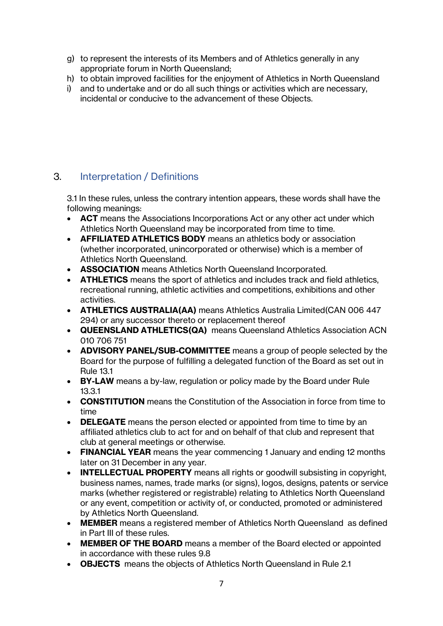- g) to represent the interests of its Members and of Athletics generally in any appropriate forum in North Queensland;
- h) to obtain improved facilities for the enjoyment of Athletics in North Queensland
- i) and to undertake and or do all such things or activities which are necessary, incidental or conducive to the advancement of these Objects.

# 3. Interpretation / Definitions

3.1 In these rules, unless the contrary intention appears, these words shall have the following meanings:

- **ACT** means the Associations Incorporations Act or any other act under which Athletics North Queensland may be incorporated from time to time.
- **AFFILIATED ATHLETICS BODY** means an athletics body or association (whether incorporated, unincorporated or otherwise) which is a member of Athletics North Queensland.
- **ASSOCIATION** means Athletics North Queensland Incorporated.
- **ATHLETICS** means the sport of athletics and includes track and field athletics, recreational running, athletic activities and competitions, exhibitions and other activities.
- **ATHLETICS AUSTRALIA(AA)** means Athletics Australia Limited(CAN 006 447 294) or any successor thereto or replacement thereof
- **QUEENSLAND ATHLETICS(QA)** means Queensland Athletics Association ACN 010 706 751
- **ADVISORY PANEL/SUB-COMMITTEE** means a group of people selected by the Board for the purpose of fulfilling a delegated function of the Board as set out in Rule 13.1
- **BY-LAW** means a by-law, regulation or policy made by the Board under Rule 13.3.1
- **CONSTITUTION** means the Constitution of the Association in force from time to time
- **DELEGATE** means the person elected or appointed from time to time by an affiliated athletics club to act for and on behalf of that club and represent that club at general meetings or otherwise.
- **FINANCIAL YEAR** means the year commencing 1 January and ending 12 months later on 31 December in any year.
- **INTELLECTUAL PROPERTY** means all rights or goodwill subsisting in copyright, business names, names, trade marks (or signs), logos, designs, patents or service marks (whether registered or registrable) relating to Athletics North Queensland or any event, competition or activity of, or conducted, promoted or administered by Athletics North Queensland.
- **MEMBER** means a registered member of Athletics North Queensland as defined in Part III of these rules.
- **MEMBER OF THE BOARD** means a member of the Board elected or appointed in accordance with these rules 9.8
- **OBJECTS** means the objects of Athletics North Queensland in Rule 2.1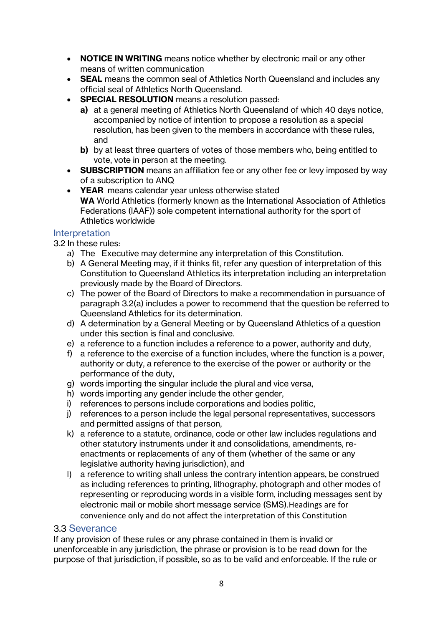- **NOTICE IN WRITING** means notice whether by electronic mail or any other means of written communication
- **SEAL** means the common seal of Athletics North Queensland and includes any official seal of Athletics North Queensland.
- **SPECIAL RESOLUTION** means a resolution passed:
	- **a)** at a general meeting of Athletics North Queensland of which 40 days notice, accompanied by notice of intention to propose a resolution as a special resolution, has been given to the members in accordance with these rules, and
	- **b)** by at least three quarters of votes of those members who, being entitled to vote, vote in person at the meeting.
- **SUBSCRIPTION** means an affiliation fee or any other fee or levy imposed by way of a subscription to ANQ
- **YEAR** means calendar year unless otherwise stated **WA** World Athletics (formerly known as the International Association of Athletics Federations (IAAF)) sole competent international authority for the sport of Athletics worldwide

#### **Interpretation**

- 3.2 In these rules:
	- a) The Executive may determine any interpretation of this Constitution.
	- b) A General Meeting may, if it thinks fit, refer any question of interpretation of this Constitution to Queensland Athletics its interpretation including an interpretation previously made by the Board of Directors.
	- c) The power of the Board of Directors to make a recommendation in pursuance of paragraph 3.2(a) includes a power to recommend that the question be referred to Queensland Athletics for its determination.
	- d) A determination by a General Meeting or by Queensland Athletics of a question under this section is final and conclusive.
	- e) a reference to a function includes a reference to a power, authority and duty,
	- f) a reference to the exercise of a function includes, where the function is a power, authority or duty, a reference to the exercise of the power or authority or the performance of the duty,
	- g) words importing the singular include the plural and vice versa,
	- h) words importing any gender include the other gender,
	- i) references to persons include corporations and bodies politic,
	- j) references to a person include the legal personal representatives, successors and permitted assigns of that person,
	- k) a reference to a statute, ordinance, code or other law includes regulations and other statutory instruments under it and consolidations, amendments, reenactments or replacements of any of them (whether of the same or any legislative authority having jurisdiction), and
	- l) a reference to writing shall unless the contrary intention appears, be construed as including references to printing, lithography, photograph and other modes of representing or reproducing words in a visible form, including messages sent by electronic mail or mobile short message service (SMS).Headings are for convenience only and do not affect the interpretation of this Constitution

#### 3.3 Severance

If any provision of these rules or any phrase contained in them is invalid or unenforceable in any jurisdiction, the phrase or provision is to be read down for the purpose of that jurisdiction, if possible, so as to be valid and enforceable. If the rule or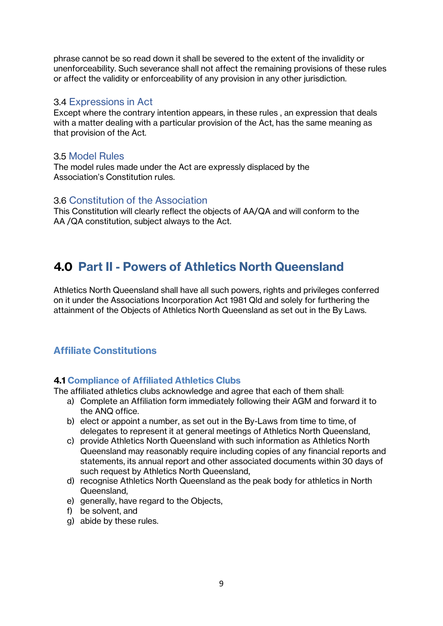phrase cannot be so read down it shall be severed to the extent of the invalidity or unenforceability. Such severance shall not affect the remaining provisions of these rules or affect the validity or enforceability of any provision in any other jurisdiction.

#### 3.4 Expressions in Act

Except where the contrary intention appears, in these rules , an expression that deals with a matter dealing with a particular provision of the Act, has the same meaning as that provision of the Act.

### 3.5 Model Rules

The model rules made under the Act are expressly displaced by the Association's Constitution rules.

#### 3.6 Constitution of the Association

This Constitution will clearly reflect the objects of AA/QA and will conform to the AA /QA constitution, subject always to the Act.

# **4.0 Part II - Powers of Athletics North Queensland**

Athletics North Queensland shall have all such powers, rights and privileges conferred on it under the Associations Incorporation Act 1981 Qld and solely for furthering the attainment of the Objects of Athletics North Queensland as set out in the By Laws.

# <span id="page-8-0"></span>**Affiliate Constitutions**

### <span id="page-8-1"></span>**4.1 Compliance of Affiliated Athletics Clubs**

The affiliated athletics clubs acknowledge and agree that each of them shall:

- a) Complete an Affiliation form immediately following their AGM and forward it to the ANQ office.
- b) elect or appoint a number, as set out in the By-Laws from time to time, of delegates to represent it at general meetings of Athletics North Queensland,
- c) provide Athletics North Queensland with such information as Athletics North Queensland may reasonably require including copies of any financial reports and statements, its annual report and other associated documents within 30 days of such request by Athletics North Queensland,
- d) recognise Athletics North Queensland as the peak body for athletics in North Queensland,
- e) generally, have regard to the Objects,
- f) be solvent, and
- g) abide by these rules.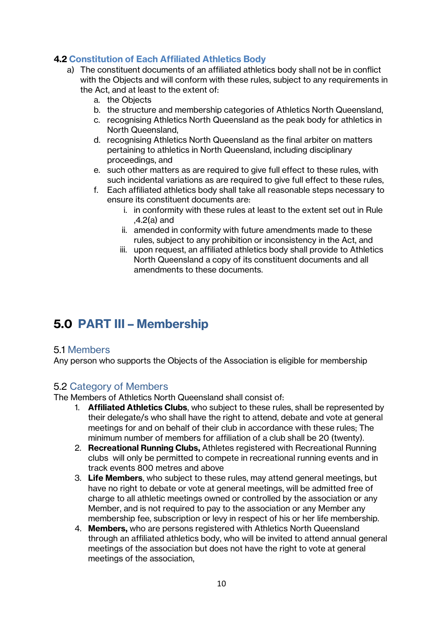# <span id="page-9-0"></span>**4.2 Constitution of Each Affiliated Athletics Body**

- a) The constituent documents of an affiliated athletics body shall not be in conflict with the Objects and will conform with these rules, subject to any requirements in the Act, and at least to the extent of:
	- a. the Objects
	- b. the structure and membership categories of Athletics North Queensland,
	- c. recognising Athletics North Queensland as the peak body for athletics in North Queensland,
	- d. recognising Athletics North Queensland as the final arbiter on matters pertaining to athletics in North Queensland, including disciplinary proceedings, and
	- e. such other matters as are required to give full effect to these rules, with such incidental variations as are required to give full effect to these rules,
	- f. Each affiliated athletics body shall take all reasonable steps necessary to ensure its constituent documents are:
		- i. in conformity with these rules at least to the extent set out in Rule ,4.2(a) and
		- ii. amended in conformity with future amendments made to these rules, subject to any prohibition or inconsistency in the Act, and
		- iii. upon request, an affiliated athletics body shall provide to Athletics North Queensland a copy of its constituent documents and all amendments to these documents.

# <span id="page-9-1"></span>**5.0 PART III – Membership**

### <span id="page-9-2"></span>5.1 Members

Any person who supports the Objects of the Association is eligible for membership

# <span id="page-9-3"></span>5.2 Category of Members

The Members of Athletics North Queensland shall consist of:

- 1. **Affiliated Athletics Clubs**, who subject to these rules, shall be represented by their delegate/s who shall have the right to attend, debate and vote at general meetings for and on behalf of their club in accordance with these rules; The minimum number of members for affiliation of a club shall be 20 (twenty).
- 2. **Recreational Running Clubs,** Athletes registered with Recreational Running clubs will only be permitted to compete in recreational running events and in track events 800 metres and above
- 3. **Life Members**, who subject to these rules, may attend general meetings, but have no right to debate or vote at general meetings, will be admitted free of charge to all athletic meetings owned or controlled by the association or any Member, and is not required to pay to the association or any Member any membership fee, subscription or levy in respect of his or her life membership.
- 4. **Members,** who are persons registered with Athletics North Queensland through an affiliated athletics body, who will be invited to attend annual general meetings of the association but does not have the right to vote at general meetings of the association,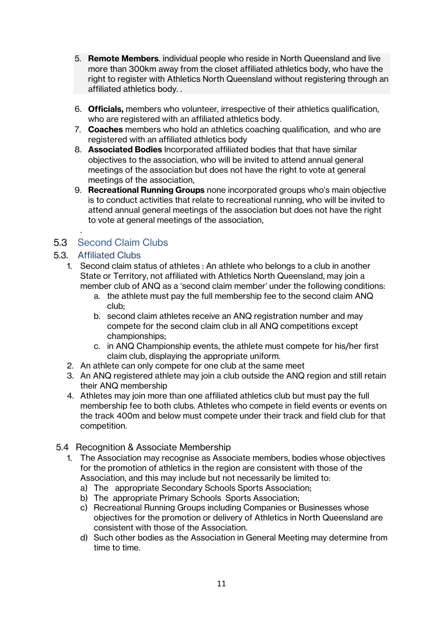- 5. **Remote Members**. individual people who reside in North Queensland and live more than 300km away from the closet affiliated athletics body, who have the right to register with Athletics North Queensland without registering through an affiliated athletics body. .
- 6. **Officials,** members who volunteer, irrespective of their athletics qualification, who are registered with an affiliated athletics body.
- 7. **Coaches** members who hold an athletics coaching qualification, and who are registered with an affiliated athletics body
- 8. **Associated Bodies** Incorporated affiliated bodies that that have similar objectives to the association, who will be invited to attend annual general meetings of the association but does not have the right to vote at general meetings of the association,
- 9. **Recreational Running Groups** none incorporated groups who's main objective is to conduct activities that relate to recreational running, who will be invited to attend annual general meetings of the association but does not have the right to vote at general meetings of the association,

# <span id="page-10-0"></span>5.3 Second Claim Clubs

# <span id="page-10-1"></span>5.3. Affiliated Clubs

.

- 1. Second claim status of athletes : An athlete who belongs to a club in another State or Territory, not affiliated with Athletics North Queensland, may join a member club of ANQ as a 'second claim member' under the following conditions:
	- a. the athlete must pay the full membership fee to the second claim ANQ club;
	- b. second claim athletes receive an ANQ registration number and may compete for the second claim club in all ANQ competitions except championships;
	- c. in ANQ Championship events, the athlete must compete for his/her first claim club, displaying the appropriate uniform.
	- 2. An athlete can only compete for one club at the same meet
	- 3. An ANQ registered athlete may join a club outside the ANQ region and still retain their ANQ membership
	- 4. Athletes may join more than one affiliated athletics club but must pay the full membership fee to both clubs. Athletes who compete in field events or events on the track 400m and below must compete under their track and field club for that competition.
- <span id="page-10-2"></span>5.4 Recognition & Associate Membership
	- 1. The Association may recognise as Associate members, bodies whose objectives for the promotion of athletics in the region are consistent with those of the Association, and this may include but not necessarily be limited to:
		- a) The appropriate Secondary Schools Sports Association;
		- b) The appropriate Primary Schools Sports Association;
		- c) Recreational Running Groups including Companies or Businesses whose objectives for the promotion or delivery of Athletics in North Queensland are consistent with those of the Association.
		- d) Such other bodies as the Association in General Meeting may determine from time to time.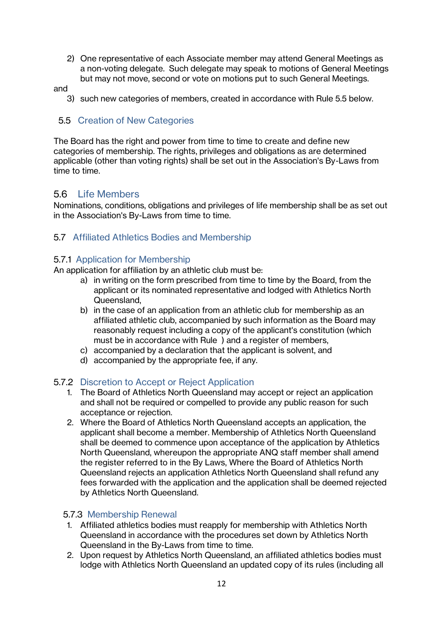2) One representative of each Associate member may attend General Meetings as a non-voting delegate. Such delegate may speak to motions of General Meetings but may not move, second or vote on motions put to such General Meetings.

and

3) such new categories of members, created in accordance with Rule 5.5 below.

#### <span id="page-11-0"></span>5.5 Creation of New Categories

The Board has the right and power from time to time to create and define new categories of membership. The rights, privileges and obligations as are determined applicable (other than voting rights) shall be set out in the Association's By-Laws from time to time.

#### <span id="page-11-1"></span>5.6 Life Members

Nominations, conditions, obligations and privileges of life membership shall be as set out in the Association's By-Laws from time to time.

#### <span id="page-11-2"></span>5.7 Affiliated Athletics Bodies and Membership

#### <span id="page-11-3"></span>5.7.1 Application for Membership

An application for affiliation by an athletic club must be:

- a) in writing on the form prescribed from time to time by the Board, from the applicant or its nominated representative and lodged with Athletics North Queensland,
- b) in the case of an application from an athletic club for membership as an affiliated athletic club, accompanied by such information as the Board may reasonably request including a copy of the applicant's constitution (which must be in accordance with Rule ) and a register of members,
- c) accompanied by a declaration that the applicant is solvent, and
- d) accompanied by the appropriate fee, if any.

#### <span id="page-11-4"></span>5.7.2 Discretion to Accept or Reject Application

- 1. The Board of Athletics North Queensland may accept or reject an application and shall not be required or compelled to provide any public reason for such acceptance or rejection.
- 2. Where the Board of Athletics North Queensland accepts an application, the applicant shall become a member. Membership of Athletics North Queensland shall be deemed to commence upon acceptance of the application by Athletics North Queensland, whereupon the appropriate ANQ staff member shall amend the register referred to in the By Laws, Where the Board of Athletics North Queensland rejects an application Athletics North Queensland shall refund any fees forwarded with the application and the application shall be deemed rejected by Athletics North Queensland.

#### <span id="page-11-5"></span>5.7.3 Membership Renewal

- 1. Affiliated athletics bodies must reapply for membership with Athletics North Queensland in accordance with the procedures set down by Athletics North Queensland in the By-Laws from time to time.
- 2. Upon request by Athletics North Queensland, an affiliated athletics bodies must lodge with Athletics North Queensland an updated copy of its rules (including all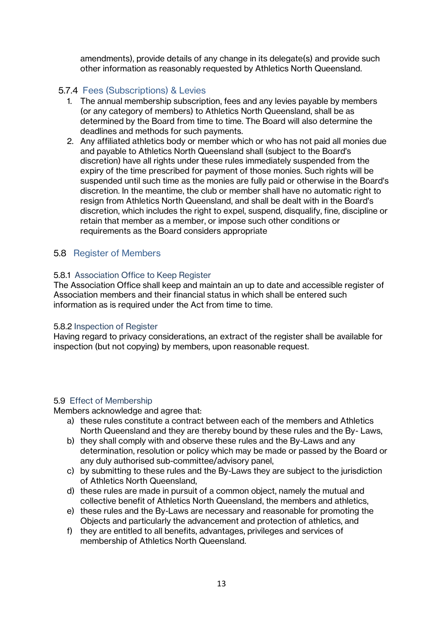amendments), provide details of any change in its delegate(s) and provide such other information as reasonably requested by Athletics North Queensland.

## <span id="page-12-0"></span>5.7.4 Fees (Subscriptions) & Levies

- 1. The annual membership subscription, fees and any levies payable by members (or any category of members) to Athletics North Queensland, shall be as determined by the Board from time to time. The Board will also determine the deadlines and methods for such payments.
- 2. Any affiliated athletics body or member which or who has not paid all monies due and payable to Athletics North Queensland shall (subject to the Board's discretion) have all rights under these rules immediately suspended from the expiry of the time prescribed for payment of those monies. Such rights will be suspended until such time as the monies are fully paid or otherwise in the Board's discretion. In the meantime, the club or member shall have no automatic right to resign from Athletics North Queensland, and shall be dealt with in the Board's discretion, which includes the right to expel, suspend, disqualify, fine, discipline or retain that member as a member, or impose such other conditions or requirements as the Board considers appropriate

# <span id="page-12-1"></span>5.8 Register of Members

#### <span id="page-12-2"></span>5.8.1 Association Office to Keep Register

The Association Office shall keep and maintain an up to date and accessible register of Association members and their financial status in which shall be entered such information as is required under the Act from time to time.

#### <span id="page-12-3"></span>5.8.2 Inspection of Register

Having regard to privacy considerations, an extract of the register shall be available for inspection (but not copying) by members, upon reasonable request.

#### <span id="page-12-4"></span>5.9 Effect of Membership

Members acknowledge and agree that:

- a) these rules constitute a contract between each of the members and Athletics North Queensland and they are thereby bound by these rules and the By- Laws,
- b) they shall comply with and observe these rules and the By-Laws and any determination, resolution or policy which may be made or passed by the Board or any duly authorised sub-committee/advisory panel,
- c) by submitting to these rules and the By-Laws they are subject to the jurisdiction of Athletics North Queensland,
- d) these rules are made in pursuit of a common object, namely the mutual and collective benefit of Athletics North Queensland, the members and athletics,
- e) these rules and the By-Laws are necessary and reasonable for promoting the Objects and particularly the advancement and protection of athletics, and
- f) they are entitled to all benefits, advantages, privileges and services of membership of Athletics North Queensland.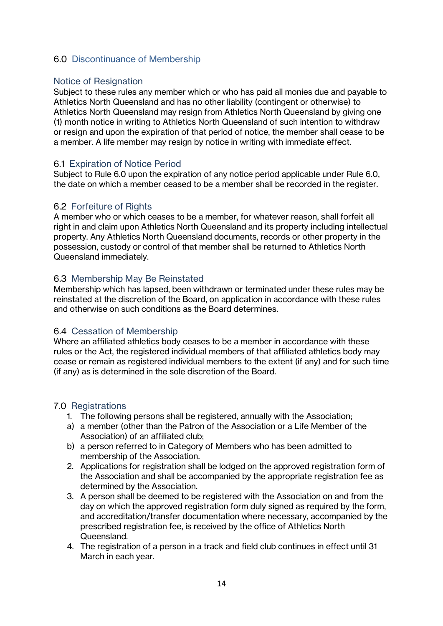### <span id="page-13-0"></span>6.0 Discontinuance of Membership

#### <span id="page-13-1"></span>Notice of Resignation

Subject to these rules any member which or who has paid all monies due and payable to Athletics North Queensland and has no other liability (contingent or otherwise) to Athletics North Queensland may resign from Athletics North Queensland by giving one (1) month notice in writing to Athletics North Queensland of such intention to withdraw or resign and upon the expiration of that period of notice, the member shall cease to be a member. A life member may resign by notice in writing with immediate effect.

#### <span id="page-13-2"></span>6.1 Expiration of Notice Period

Subject to Rule 6.0 upon the expiration of any notice period applicable under Rule 6.0, the date on which a member ceased to be a member shall be recorded in the register.

#### <span id="page-13-3"></span>6.2 Forfeiture of Rights

A member who or which ceases to be a member, for whatever reason, shall forfeit all right in and claim upon Athletics North Queensland and its property including intellectual property. Any Athletics North Queensland documents, records or other property in the possession, custody or control of that member shall be returned to Athletics North Queensland immediately.

#### <span id="page-13-4"></span>6.3 Membership May Be Reinstated

Membership which has lapsed, been withdrawn or terminated under these rules may be reinstated at the discretion of the Board, on application in accordance with these rules and otherwise on such conditions as the Board determines.

#### <span id="page-13-5"></span>6.4 Cessation of Membership

Where an affiliated athletics body ceases to be a member in accordance with these rules or the Act, the registered individual members of that affiliated athletics body may cease or remain as registered individual members to the extent (if any) and for such time (if any) as is determined in the sole discretion of the Board.

#### <span id="page-13-6"></span>7.0 Registrations

- 1. The following persons shall be registered, annually with the Association;
- a) a member (other than the Patron of the Association or a Life Member of the Association) of an affiliated club;
- b) a person referred to in Category of Members who has been admitted to membership of the Association.
- 2. Applications for registration shall be lodged on the approved registration form of the Association and shall be accompanied by the appropriate registration fee as determined by the Association.
- 3. A person shall be deemed to be registered with the Association on and from the day on which the approved registration form duly signed as required by the form, and accreditation/transfer documentation where necessary, accompanied by the prescribed registration fee, is received by the office of Athletics North Queensland.
- 4. The registration of a person in a track and field club continues in effect until 31 March in each year.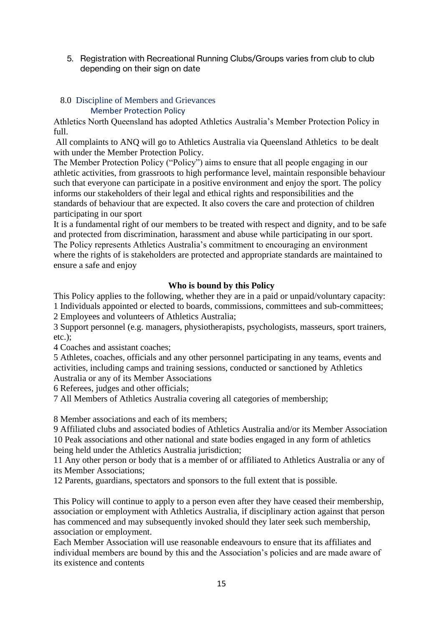5. Registration with Recreational Running Clubs/Groups varies from club to club depending on their sign on date

#### <span id="page-14-0"></span> 8.0 Discipline of Members and Grievances Member Protection Policy

Athletics North Queensland has adopted Athletics Australia's Member Protection Policy in full.

All complaints to ANQ will go to Athletics Australia via Queensland Athletics to be dealt with under the Member Protection Policy.

The Member Protection Policy ("Policy") aims to ensure that all people engaging in our athletic activities, from grassroots to high performance level, maintain responsible behaviour such that everyone can participate in a positive environment and enjoy the sport. The policy informs our stakeholders of their legal and ethical rights and responsibilities and the standards of behaviour that are expected. It also covers the care and protection of children participating in our sport

It is a fundamental right of our members to be treated with respect and dignity, and to be safe and protected from discrimination, harassment and abuse while participating in our sport. The Policy represents Athletics Australia's commitment to encouraging an environment where the rights of is stakeholders are protected and appropriate standards are maintained to ensure a safe and enjoy

#### **Who is bound by this Policy**

This Policy applies to the following, whether they are in a paid or unpaid/voluntary capacity: 1 Individuals appointed or elected to boards, commissions, committees and sub-committees;

2 Employees and volunteers of Athletics Australia;

3 Support personnel (e.g. managers, physiotherapists, psychologists, masseurs, sport trainers, etc.);

4 Coaches and assistant coaches;

5 Athletes, coaches, officials and any other personnel participating in any teams, events and activities, including camps and training sessions, conducted or sanctioned by Athletics Australia or any of its Member Associations

6 Referees, judges and other officials;

7 All Members of Athletics Australia covering all categories of membership;

8 Member associations and each of its members;

9 Affiliated clubs and associated bodies of Athletics Australia and/or its Member Association 10 Peak associations and other national and state bodies engaged in any form of athletics being held under the Athletics Australia jurisdiction;

11 Any other person or body that is a member of or affiliated to Athletics Australia or any of its Member Associations;

12 Parents, guardians, spectators and sponsors to the full extent that is possible.

This Policy will continue to apply to a person even after they have ceased their membership, association or employment with Athletics Australia, if disciplinary action against that person has commenced and may subsequently invoked should they later seek such membership, association or employment.

Each Member Association will use reasonable endeavours to ensure that its affiliates and individual members are bound by this and the Association's policies and are made aware of its existence and contents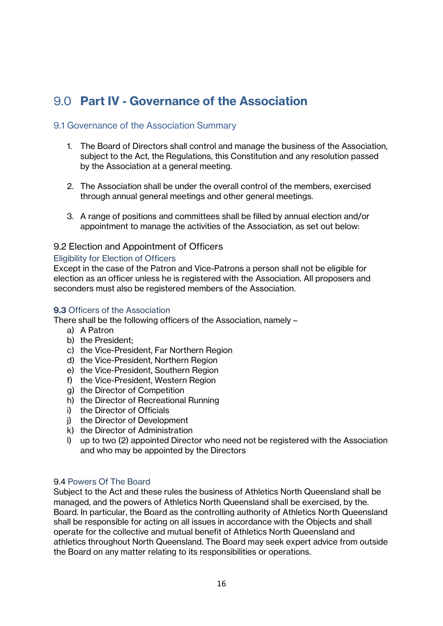# <span id="page-15-0"></span>9.0 **Part IV - Governance of the Association**

#### <span id="page-15-1"></span>9.1 Governance of the Association Summary

- 1. The Board of Directors shall control and manage the business of the Association, subject to the Act, the Regulations, this Constitution and any resolution passed by the Association at a general meeting.
- 2. The Association shall be under the overall control of the members, exercised through annual general meetings and other general meetings.
- 3. A range of positions and committees shall be filled by annual election and/or appointment to manage the activities of the Association, as set out below:

#### <span id="page-15-2"></span>9.2 Election and Appointment of Officers

#### <span id="page-15-3"></span>Eligibility for Election of Officers

Except in the case of the Patron and Vice-Patrons a person shall not be eligible for election as an officer unless he is registered with the Association. All proposers and seconders must also be registered members of the Association.

#### <span id="page-15-4"></span>**9.3** Officers of the Association

There shall be the following officers of the Association, namely –

- a) A Patron
- b) the President;
- c) the Vice-President, Far Northern Region
- d) the Vice-President, Northern Region
- e) the Vice-President, Southern Region
- f) the Vice-President, Western Region
- g) the Director of Competition
- h) the Director of Recreational Running
- i) the Director of Officials
- j) the Director of Development
- k) the Director of Administration
- l) up to two (2) appointed Director who need not be registered with the Association and who may be appointed by the Directors

#### 9.4 Powers Of The Board

Subject to the Act and these rules the business of Athletics North Queensland shall be managed, and the powers of Athletics North Queensland shall be exercised, by the. Board. In particular, the Board as the controlling authority of Athletics North Queensland shall be responsible for acting on all issues in accordance with the Objects and shall operate for the collective and mutual benefit of Athletics North Queensland and athletics throughout North Queensland. The Board may seek expert advice from outside the Board on any matter relating to its responsibilities or operations.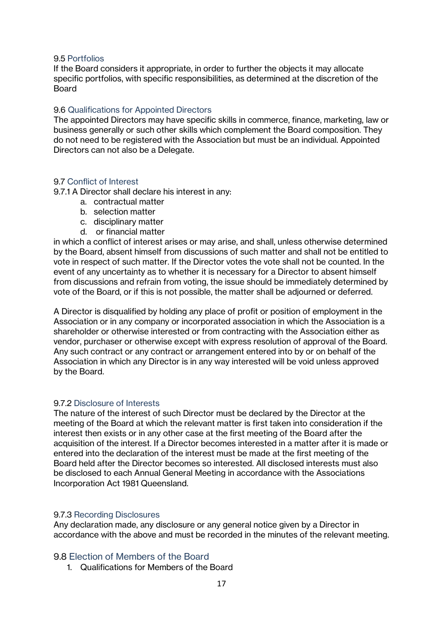#### 9.5 Portfolios

If the Board considers it appropriate, in order to further the objects it may allocate specific portfolios, with specific responsibilities, as determined at the discretion of the **Board** 

#### 9.6 Qualifications for Appointed Directors

The appointed Directors may have specific skills in commerce, finance, marketing, law or business generally or such other skills which complement the Board composition. They do not need to be registered with the Association but must be an individual. Appointed Directors can not also be a Delegate.

#### <span id="page-16-0"></span>9.7 Conflict of Interest

9.7.1 A Director shall declare his interest in any:

- a. contractual matter
- b. selection matter
- c. disciplinary matter
- d. or financial matter

in which a conflict of interest arises or may arise, and shall, unless otherwise determined by the Board, absent himself from discussions of such matter and shall not be entitled to vote in respect of such matter. If the Director votes the vote shall not be counted. In the event of any uncertainty as to whether it is necessary for a Director to absent himself from discussions and refrain from voting, the issue should be immediately determined by vote of the Board, or if this is not possible, the matter shall be adjourned or deferred.

A Director is disqualified by holding any place of profit or position of employment in the Association or in any company or incorporated association in which the Association is a shareholder or otherwise interested or from contracting with the Association either as vendor, purchaser or otherwise except with express resolution of approval of the Board. Any such contract or any contract or arrangement entered into by or on behalf of the Association in which any Director is in any way interested will be void unless approved by the Board.

#### <span id="page-16-1"></span>9.7.2 Disclosure of Interests

The nature of the interest of such Director must be declared by the Director at the meeting of the Board at which the relevant matter is first taken into consideration if the interest then exists or in any other case at the first meeting of the Board after the acquisition of the interest. If a Director becomes interested in a matter after it is made or entered into the declaration of the interest must be made at the first meeting of the Board held after the Director becomes so interested. All disclosed interests must also be disclosed to each Annual General Meeting in accordance with the Associations Incorporation Act 1981 Queensland.

#### <span id="page-16-2"></span>9.7.3 Recording Disclosures

Any declaration made, any disclosure or any general notice given by a Director in accordance with the above and must be recorded in the minutes of the relevant meeting.

#### <span id="page-16-3"></span>9.8 Election of Members of the Board

1. Qualifications for Members of the Board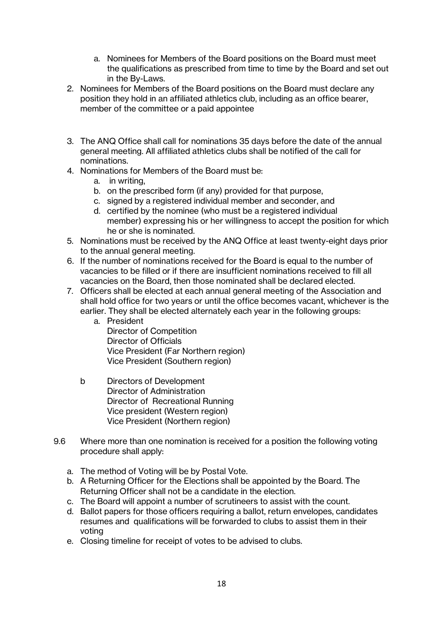- a. Nominees for Members of the Board positions on the Board must meet the qualifications as prescribed from time to time by the Board and set out in the By-Laws.
- 2. Nominees for Members of the Board positions on the Board must declare any position they hold in an affiliated athletics club, including as an office bearer, member of the committee or a paid appointee
- 3. The ANQ Office shall call for nominations 35 days before the date of the annual general meeting. All affiliated athletics clubs shall be notified of the call for nominations.
- 4. Nominations for Members of the Board must be:
	- a. in writing,
	- b. on the prescribed form (if any) provided for that purpose,
	- c. signed by a registered individual member and seconder, and
	- d. certified by the nominee (who must be a registered individual member) expressing his or her willingness to accept the position for which he or she is nominated.
- 5. Nominations must be received by the ANQ Office at least twenty-eight days prior to the annual general meeting.
- 6. If the number of nominations received for the Board is equal to the number of vacancies to be filled or if there are insufficient nominations received to fill all vacancies on the Board, then those nominated shall be declared elected.
- 7. Officers shall be elected at each annual general meeting of the Association and shall hold office for two years or until the office becomes vacant, whichever is the earlier. They shall be elected alternately each year in the following groups:
	- a. President Director of Competition Director of Officials Vice President (Far Northern region) Vice President (Southern region)
	- b Directors of Development Director of Administration Director of Recreational Running Vice president (Western region) Vice President (Northern region)
- 9.6 Where more than one nomination is received for a position the following voting procedure shall apply:
	- a. The method of Voting will be by Postal Vote.
	- b. A Returning Officer for the Elections shall be appointed by the Board. The Returning Officer shall not be a candidate in the election.
	- c. The Board will appoint a number of scrutineers to assist with the count.
	- d. Ballot papers for those officers requiring a ballot, return envelopes, candidates resumes and qualifications will be forwarded to clubs to assist them in their voting
	- e. Closing timeline for receipt of votes to be advised to clubs.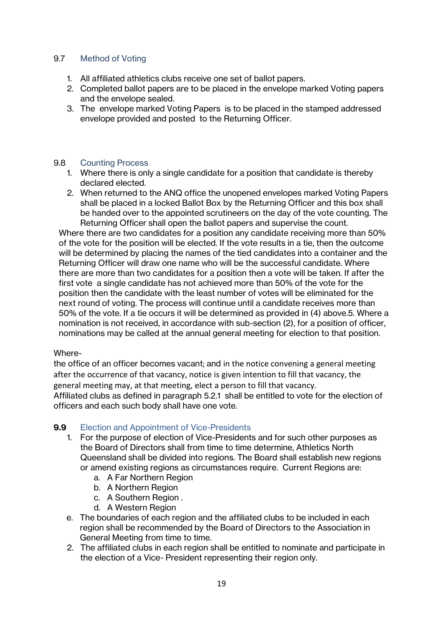#### <span id="page-18-0"></span>9.7 Method of Voting

- 1. All affiliated athletics clubs receive one set of ballot papers.
- 2. Completed ballot papers are to be placed in the envelope marked Voting papers and the envelope sealed.
- 3. The envelope marked Voting Papers is to be placed in the stamped addressed envelope provided and posted to the Returning Officer.

#### <span id="page-18-1"></span>9.8 Counting Process

- 1. Where there is only a single candidate for a position that candidate is thereby declared elected.
- 2. When returned to the ANQ office the unopened envelopes marked Voting Papers shall be placed in a locked Ballot Box by the Returning Officer and this box shall be handed over to the appointed scrutineers on the day of the vote counting. The Returning Officer shall open the ballot papers and supervise the count.

Where there are two candidates for a position any candidate receiving more than 50% of the vote for the position will be elected. If the vote results in a tie, then the outcome will be determined by placing the names of the tied candidates into a container and the Returning Officer will draw one name who will be the successful candidate. Where there are more than two candidates for a position then a vote will be taken. If after the first vote a single candidate has not achieved more than 50% of the vote for the position then the candidate with the least number of votes will be eliminated for the next round of voting. The process will continue until a candidate receives more than 50% of the vote. If a tie occurs it will be determined as provided in (4) above.5. Where a nomination is not received, in accordance with sub-section (2), for a position of officer, nominations may be called at the annual general meeting for election to that position.

#### Where-

the office of an officer becomes vacant; and in the notice convening a general meeting after the occurrence of that vacancy, notice is given intention to fill that vacancy, the general meeting may, at that meeting, elect a person to fill that vacancy.

Affiliated clubs as defined in paragraph 5.2.1 shall be entitled to vote for the election of officers and each such body shall have one vote.

#### <span id="page-18-2"></span>**9.9** Election and Appointment of Vice-Presidents

- 1. For the purpose of election of Vice-Presidents and for such other purposes as the Board of Directors shall from time to time determine, Athletics North Queensland shall be divided into regions. The Board shall establish new regions or amend existing regions as circumstances require. Current Regions are:
	- a. A Far Northern Region
	- b. A Northern Region
	- c. A Southern Region .
	- d. A Western Region
- e. The boundaries of each region and the affiliated clubs to be included in each region shall be recommended by the Board of Directors to the Association in General Meeting from time to time.
- 2. The affiliated clubs in each region shall be entitled to nominate and participate in the election of a Vice- President representing their region only.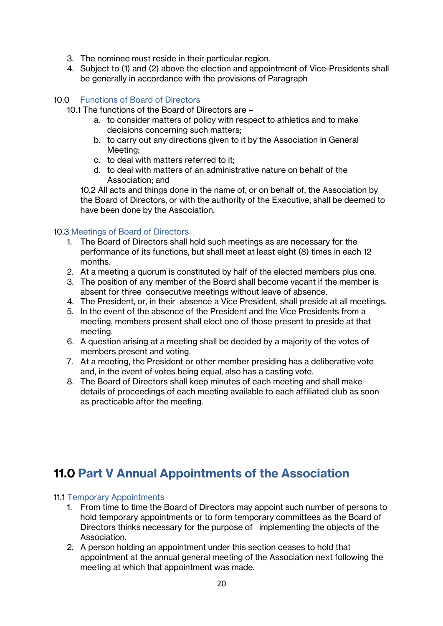- 3. The nominee must reside in their particular region.
- 4. Subject to (1) and (2) above the election and appointment of Vice-Presidents shall be generally in accordance with the provisions of Paragraph

#### <span id="page-19-0"></span>10.0 Functions of Board of Directors

- 10.1 The functions of the Board of Directors are
	- a. to consider matters of policy with respect to athletics and to make decisions concerning such matters;
	- b. to carry out any directions given to it by the Association in General Meeting;
	- c. to deal with matters referred to it;
	- d. to deal with matters of an administrative nature on behalf of the Association; and

10.2 All acts and things done in the name of, or on behalf of, the Association by the Board of Directors, or with the authority of the Executive, shall be deemed to have been done by the Association.

#### <span id="page-19-1"></span>10.3 Meetings of Board of Directors

- 1. The Board of Directors shall hold such meetings as are necessary for the performance of its functions, but shall meet at least eight (8) times in each 12 months.
- 2. At a meeting a quorum is constituted by half of the elected members plus one.
- 3. The position of any member of the Board shall become vacant if the member is absent for three consecutive meetings without leave of absence.
- 4. The President, or, in their absence a Vice President, shall preside at all meetings.
- 5. In the event of the absence of the President and the Vice Presidents from a meeting, members present shall elect one of those present to preside at that meeting.
- 6. A question arising at a meeting shall be decided by a majority of the votes of members present and voting.
- 7. At a meeting, the President or other member presiding has a deliberative vote and, in the event of votes being equal, also has a casting vote.
- 8. The Board of Directors shall keep minutes of each meeting and shall make details of proceedings of each meeting available to each affiliated club as soon as practicable after the meeting.

# <span id="page-19-2"></span>**11.0 Part V Annual Appointments of the Association**

#### <span id="page-19-3"></span>11.1 Temporary Appointments

- 1. From time to time the Board of Directors may appoint such number of persons to hold temporary appointments or to form temporary committees as the Board of Directors thinks necessary for the purpose of implementing the objects of the Association.
- 2. A person holding an appointment under this section ceases to hold that appointment at the annual general meeting of the Association next following the meeting at which that appointment was made.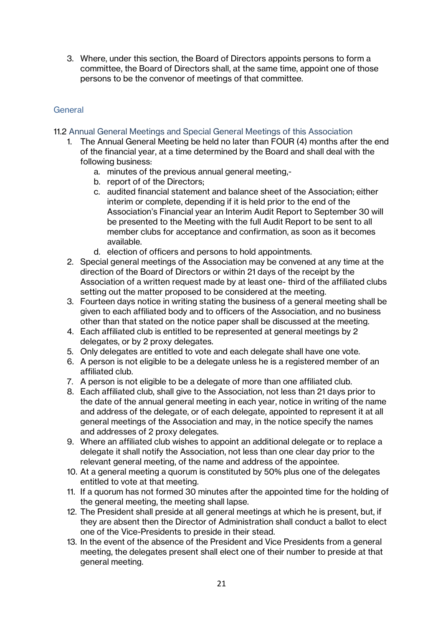3. Where, under this section, the Board of Directors appoints persons to form a committee, the Board of Directors shall, at the same time, appoint one of those persons to be the convenor of meetings of that committee.

## <span id="page-20-0"></span>General

- <span id="page-20-1"></span>11.2 Annual General Meetings and Special General Meetings of this Association
	- 1. The Annual General Meeting be held no later than FOUR (4) months after the end of the financial year, at a time determined by the Board and shall deal with the following business:
		- a. minutes of the previous annual general meeting,-
		- b. report of of the Directors;
		- c. audited financial statement and balance sheet of the Association; either interim or complete, depending if it is held prior to the end of the Association's Financial year an Interim Audit Report to September 30 will be presented to the Meeting with the full Audit Report to be sent to all member clubs for acceptance and confirmation, as soon as it becomes available.
		- d. election of officers and persons to hold appointments.
	- 2. Special general meetings of the Association may be convened at any time at the direction of the Board of Directors or within 21 days of the receipt by the Association of a written request made by at least one- third of the affiliated clubs setting out the matter proposed to be considered at the meeting.
	- 3. Fourteen days notice in writing stating the business of a general meeting shall be given to each affiliated body and to officers of the Association, and no business other than that stated on the notice paper shall be discussed at the meeting.
	- 4. Each affiliated club is entitled to be represented at general meetings by 2 delegates, or by 2 proxy delegates.
	- 5. Only delegates are entitled to vote and each delegate shall have one vote.
	- 6. A person is not eligible to be a delegate unless he is a registered member of an affiliated club.
	- 7. A person is not eligible to be a delegate of more than one affiliated club.
	- 8. Each affiliated club, shall give to the Association, not less than 21 days prior to the date of the annual general meeting in each year, notice in writing of the name and address of the delegate, or of each delegate, appointed to represent it at all general meetings of the Association and may, in the notice specify the names and addresses of 2 proxy delegates.
	- 9. Where an affiliated club wishes to appoint an additional delegate or to replace a delegate it shall notify the Association, not less than one clear day prior to the relevant general meeting, of the name and address of the appointee.
	- 10. At a general meeting a quorum is constituted by 50% plus one of the delegates entitled to vote at that meeting.
	- 11. If a quorum has not formed 30 minutes after the appointed time for the holding of the general meeting, the meeting shall lapse.
	- 12. The President shall preside at all general meetings at which he is present, but, if they are absent then the Director of Administration shall conduct a ballot to elect one of the Vice-Presidents to preside in their stead.
	- 13. In the event of the absence of the President and Vice Presidents from a general meeting, the delegates present shall elect one of their number to preside at that general meeting.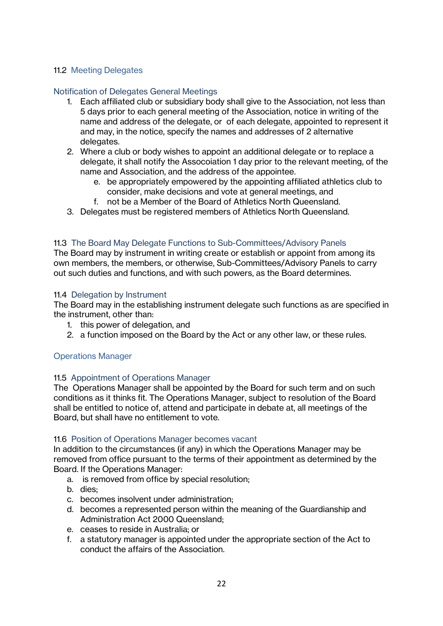#### <span id="page-21-0"></span>11.2 Meeting Delegates

#### <span id="page-21-1"></span>Notification of Delegates General Meetings

- 1. Each affiliated club or subsidiary body shall give to the Association, not less than 5 days prior to each general meeting of the Association, notice in writing of the name and address of the delegate, or of each delegate, appointed to represent it and may, in the notice, specify the names and addresses of 2 alternative delegates.
- 2. Where a club or body wishes to appoint an additional delegate or to replace a delegate, it shall notify the Assocoiation 1 day prior to the relevant meeting, of the name and Association, and the address of the appointee.
	- e. be appropriately empowered by the appointing affiliated athletics club to consider, make decisions and vote at general meetings, and
	- f. not be a Member of the Board of Athletics North Queensland.
- 3. Delegates must be registered members of Athletics North Queensland.

#### <span id="page-21-2"></span>11.3 The Board May Delegate Functions to Sub-Committees/Advisory Panels

The Board may by instrument in writing create or establish or appoint from among its own members, the members, or otherwise, Sub-Committees/Advisory Panels to carry out such duties and functions, and with such powers, as the Board determines.

#### <span id="page-21-3"></span>11.4 Delegation by Instrument

The Board may in the establishing instrument delegate such functions as are specified in the instrument, other than:

- 1. this power of delegation, and
- 2. a function imposed on the Board by the Act or any other law, or these rules.

#### <span id="page-21-4"></span>Operations Manager

#### <span id="page-21-5"></span>11.5 Appointment of Operations Manager

The Operations Manager shall be appointed by the Board for such term and on such conditions as it thinks fit. The Operations Manager, subject to resolution of the Board shall be entitled to notice of, attend and participate in debate at, all meetings of the Board, but shall have no entitlement to vote.

#### <span id="page-21-6"></span>11.6 Position of Operations Manager becomes vacant

In addition to the circumstances (if any) in which the Operations Manager may be removed from office pursuant to the terms of their appointment as determined by the Board. If the Operations Manager:

- a. is removed from office by special resolution;
- b. dies;
- c. becomes insolvent under administration;
- d. becomes a represented person within the meaning of the Guardianship and Administration Act 2000 Queensland;
- e. ceases to reside in Australia; or
- f. a statutory manager is appointed under the appropriate section of the Act to conduct the affairs of the Association.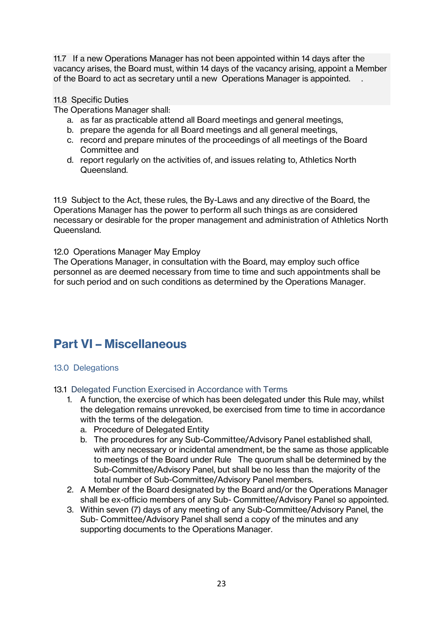11.7 If a new Operations Manager has not been appointed within 14 days after the vacancy arises, the Board must, within 14 days of the vacancy arising, appoint a Member of the Board to act as secretary until a new Operations Manager is appointed. .

#### <span id="page-22-0"></span>11.8 Specific Duties

The Operations Manager shall:

- a. as far as practicable attend all Board meetings and general meetings,
- b. prepare the agenda for all Board meetings and all general meetings,
- c. record and prepare minutes of the proceedings of all meetings of the Board Committee and
- d. report regularly on the activities of, and issues relating to, Athletics North Queensland.

11.9 Subject to the Act, these rules, the By-Laws and any directive of the Board, the Operations Manager has the power to perform all such things as are considered necessary or desirable for the proper management and administration of Athletics North Queensland.

#### <span id="page-22-1"></span>12.0 Operations Manager May Employ

The Operations Manager, in consultation with the Board, may employ such office personnel as are deemed necessary from time to time and such appointments shall be for such period and on such conditions as determined by the Operations Manager.

# <span id="page-22-2"></span>**Part VI – Miscellaneous**

### <span id="page-22-3"></span>13.0 Delegations

<span id="page-22-4"></span>13.1 Delegated Function Exercised in Accordance with Terms

- 1. A function, the exercise of which has been delegated under this Rule may, whilst the delegation remains unrevoked, be exercised from time to time in accordance with the terms of the delegation.
	- a. Procedure of Delegated Entity
	- b. The procedures for any Sub-Committee/Advisory Panel established shall, with any necessary or incidental amendment, be the same as those applicable to meetings of the Board under Rule The quorum shall be determined by the Sub-Committee/Advisory Panel, but shall be no less than the majority of the total number of Sub-Committee/Advisory Panel members.
- 2. A Member of the Board designated by the Board and/or the Operations Manager shall be ex-officio members of any Sub- Committee/Advisory Panel so appointed.
- 3. Within seven (7) days of any meeting of any Sub-Committee/Advisory Panel, the Sub- Committee/Advisory Panel shall send a copy of the minutes and any supporting documents to the Operations Manager.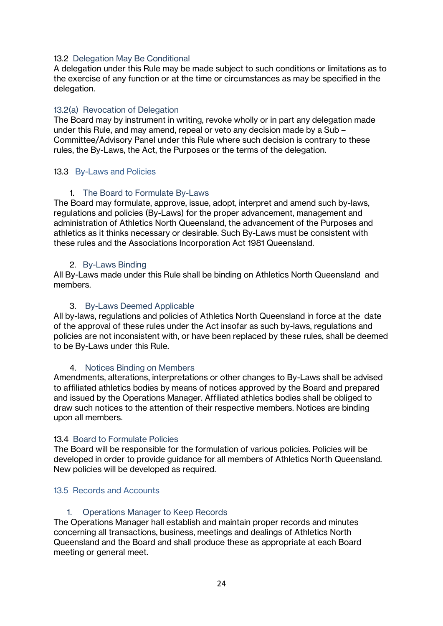#### <span id="page-23-0"></span>13.2 Delegation May Be Conditional

A delegation under this Rule may be made subject to such conditions or limitations as to the exercise of any function or at the time or circumstances as may be specified in the delegation.

#### <span id="page-23-1"></span>13.2(a) Revocation of Delegation

The Board may by instrument in writing, revoke wholly or in part any delegation made under this Rule, and may amend, repeal or veto any decision made by a Sub – Committee/Advisory Panel under this Rule where such decision is contrary to these rules, the By-Laws, the Act, the Purposes or the terms of the delegation.

#### <span id="page-23-2"></span>13.3 By-Laws and Policies

#### 1. The Board to Formulate By-Laws

<span id="page-23-3"></span>The Board may formulate, approve, issue, adopt, interpret and amend such by-laws, regulations and policies (By-Laws) for the proper advancement, management and administration of Athletics North Queensland, the advancement of the Purposes and athletics as it thinks necessary or desirable. Such By-Laws must be consistent with these rules and the Associations Incorporation Act 1981 Queensland.

#### 2. By-Laws Binding

<span id="page-23-4"></span>All By-Laws made under this Rule shall be binding on Athletics North Queensland and members.

#### 3. By-Laws Deemed Applicable

<span id="page-23-5"></span>All by-laws, regulations and policies of Athletics North Queensland in force at the date of the approval of these rules under the Act insofar as such by-laws, regulations and policies are not inconsistent with, or have been replaced by these rules, shall be deemed to be By-Laws under this Rule.

#### 4. Notices Binding on Members

<span id="page-23-6"></span>Amendments, alterations, interpretations or other changes to By-Laws shall be advised to affiliated athletics bodies by means of notices approved by the Board and prepared and issued by the Operations Manager. Affiliated athletics bodies shall be obliged to draw such notices to the attention of their respective members. Notices are binding upon all members.

#### <span id="page-23-7"></span>13.4 Board to Formulate Policies

The Board will be responsible for the formulation of various policies. Policies will be developed in order to provide guidance for all members of Athletics North Queensland. New policies will be developed as required.

#### <span id="page-23-8"></span>13.5 Records and Accounts

#### 1. Operations Manager to Keep Records

<span id="page-23-9"></span>The Operations Manager hall establish and maintain proper records and minutes concerning all transactions, business, meetings and dealings of Athletics North Queensland and the Board and shall produce these as appropriate at each Board meeting or general meet.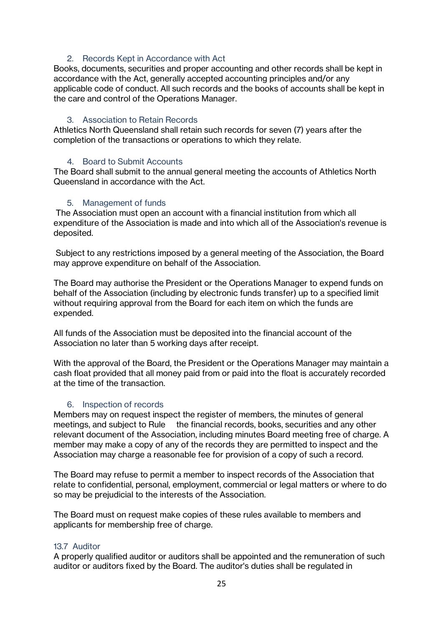#### 2. Records Kept in Accordance with Act

<span id="page-24-0"></span>Books, documents, securities and proper accounting and other records shall be kept in accordance with the Act, generally accepted accounting principles and/or any applicable code of conduct. All such records and the books of accounts shall be kept in the care and control of the Operations Manager.

#### 3. Association to Retain Records

<span id="page-24-1"></span>Athletics North Queensland shall retain such records for seven (7) years after the completion of the transactions or operations to which they relate.

#### 4. Board to Submit Accounts

<span id="page-24-2"></span>The Board shall submit to the annual general meeting the accounts of Athletics North Queensland in accordance with the Act.

#### 5. Management of funds

<span id="page-24-3"></span>The Association must open an account with a financial institution from which all expenditure of the Association is made and into which all of the Association's revenue is deposited.

Subject to any restrictions imposed by a general meeting of the Association, the Board may approve expenditure on behalf of the Association.

The Board may authorise the President or the Operations Manager to expend funds on behalf of the Association (including by electronic funds transfer) up to a specified limit without requiring approval from the Board for each item on which the funds are expended.

All funds of the Association must be deposited into the financial account of the Association no later than 5 working days after receipt.

With the approval of the Board, the President or the Operations Manager may maintain a cash float provided that all money paid from or paid into the float is accurately recorded at the time of the transaction.

#### 6. Inspection of records

<span id="page-24-4"></span>Members may on request inspect the register of members, the minutes of general meetings, and subject to Rule the financial records, books, securities and any other relevant document of the Association, including minutes Board meeting free of charge. A member may make a copy of any of the records they are permitted to inspect and the Association may charge a reasonable fee for provision of a copy of such a record.

The Board may refuse to permit a member to inspect records of the Association that relate to confidential, personal, employment, commercial or legal matters or where to do so may be prejudicial to the interests of the Association.

The Board must on request make copies of these rules available to members and applicants for membership free of charge.

#### <span id="page-24-5"></span>13.7 Auditor

A properly qualified auditor or auditors shall be appointed and the remuneration of such auditor or auditors fixed by the Board. The auditor's duties shall be regulated in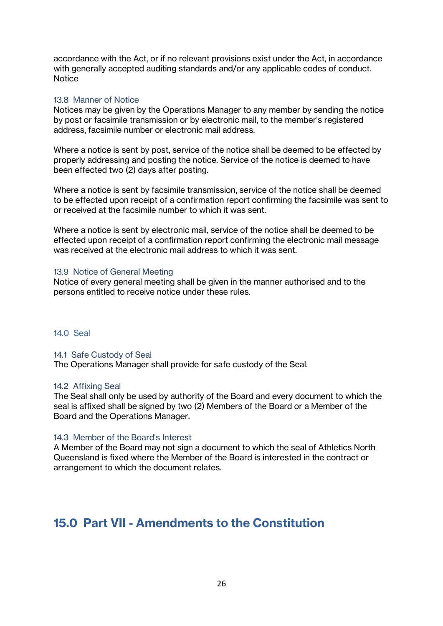accordance with the Act, or if no relevant provisions exist under the Act, in accordance with generally accepted auditing standards and/or any applicable codes of conduct. **Notice** 

#### <span id="page-25-0"></span>13.8 Manner of Notice

Notices may be given by the Operations Manager to any member by sending the notice by post or facsimile transmission or by electronic mail, to the member's registered address, facsimile number or electronic mail address.

Where a notice is sent by post, service of the notice shall be deemed to be effected by properly addressing and posting the notice. Service of the notice is deemed to have been effected two (2) days after posting.

Where a notice is sent by facsimile transmission, service of the notice shall be deemed to be effected upon receipt of a confirmation report confirming the facsimile was sent to or received at the facsimile number to which it was sent.

Where a notice is sent by electronic mail, service of the notice shall be deemed to be effected upon receipt of a confirmation report confirming the electronic mail message was received at the electronic mail address to which it was sent.

#### <span id="page-25-1"></span>13.9 Notice of General Meeting

Notice of every general meeting shall be given in the manner authorised and to the persons entitled to receive notice under these rules.

#### <span id="page-25-2"></span>14.0 Seal

#### <span id="page-25-3"></span>14.1 Safe Custody of Seal

The Operations Manager shall provide for safe custody of the Seal.

#### <span id="page-25-4"></span>14.2 Affixing Seal

The Seal shall only be used by authority of the Board and every document to which the seal is affixed shall be signed by two (2) Members of the Board or a Member of the Board and the Operations Manager.

#### <span id="page-25-5"></span>14.3 Member of the Board's Interest

A Member of the Board may not sign a document to which the seal of Athletics North Queensland is fixed where the Member of the Board is interested in the contract or arrangement to which the document relates.

# <span id="page-25-6"></span>**15.0 Part VII - Amendments to the Constitution**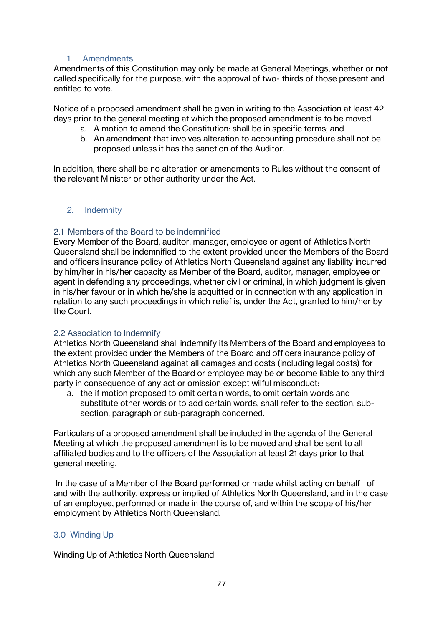#### 1. Amendments

<span id="page-26-0"></span>Amendments of this Constitution may only be made at General Meetings, whether or not called specifically for the purpose, with the approval of two- thirds of those present and entitled to vote.

Notice of a proposed amendment shall be given in writing to the Association at least 42 days prior to the general meeting at which the proposed amendment is to be moved.

- a. A motion to amend the Constitution: shall be in specific terms; and
- b. An amendment that involves alteration to accounting procedure shall not be proposed unless it has the sanction of the Auditor.

In addition, there shall be no alteration or amendments to Rules without the consent of the relevant Minister or other authority under the Act.

#### <span id="page-26-1"></span>2. Indemnity

#### <span id="page-26-2"></span>2.1 Members of the Board to be indemnified

Every Member of the Board, auditor, manager, employee or agent of Athletics North Queensland shall be indemnified to the extent provided under the Members of the Board and officers insurance policy of Athletics North Queensland against any liability incurred by him/her in his/her capacity as Member of the Board, auditor, manager, employee or agent in defending any proceedings, whether civil or criminal, in which judgment is given in his/her favour or in which he/she is acquitted or in connection with any application in relation to any such proceedings in which relief is, under the Act, granted to him/her by the Court.

#### <span id="page-26-3"></span>2.2 Association to Indemnify

Athletics North Queensland shall indemnify its Members of the Board and employees to the extent provided under the Members of the Board and officers insurance policy of Athletics North Queensland against all damages and costs (including legal costs) for which any such Member of the Board or employee may be or become liable to any third party in consequence of any act or omission except wilful misconduct:

a. the if motion proposed to omit certain words, to omit certain words and substitute other words or to add certain words, shall refer to the section, subsection, paragraph or sub-paragraph concerned.

Particulars of a proposed amendment shall be included in the agenda of the General Meeting at which the proposed amendment is to be moved and shall be sent to all affiliated bodies and to the officers of the Association at least 21 days prior to that general meeting.

In the case of a Member of the Board performed or made whilst acting on behalf of and with the authority, express or implied of Athletics North Queensland, and in the case of an employee, performed or made in the course of, and within the scope of his/her employment by Athletics North Queensland.

#### <span id="page-26-4"></span>3.0 Winding Up

Winding Up of Athletics North Queensland